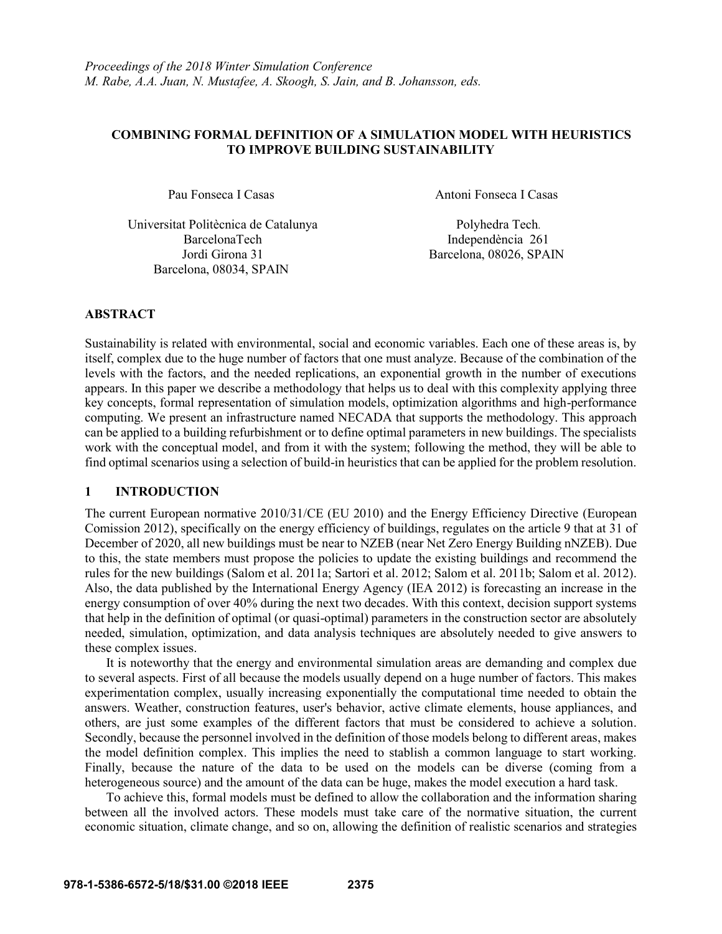### **COMBINING FORMAL DEFINITION OF A SIMULATION MODEL WITH HEURISTICS TO IMPROVE BUILDING SUSTAINABILITY**

Universitat Politècnica de Catalunya Polyhedra Tech. BarcelonaTech Independència 261 Barcelona, 08034, SPAIN

Pau Fonseca I Casas Antoni Fonseca I Casas

Jordi Girona 31 Barcelona, 08026, SPAIN

# **ABSTRACT**

Sustainability is related with environmental, social and economic variables. Each one of these areas is, by itself, complex due to the huge number of factors that one must analyze. Because of the combination of the levels with the factors, and the needed replications, an exponential growth in the number of executions appears. In this paper we describe a methodology that helps us to deal with this complexity applying three key concepts, formal representation of simulation models, optimization algorithms and high-performance computing. We present an infrastructure named NECADA that supports the methodology. This approach can be applied to a building refurbishment or to define optimal parameters in new buildings. The specialists work with the conceptual model, and from it with the system; following the method, they will be able to find optimal scenarios using a selection of build-in heuristics that can be applied for the problem resolution.

## **1 INTRODUCTION**

The current European normative 2010/31/CE (EU 2010) and the Energy Efficiency Directive (European Comission 2012), specifically on the energy efficiency of buildings, regulates on the article 9 that at 31 of December of 2020, all new buildings must be near to NZEB (near Net Zero Energy Building nNZEB). Due to this, the state members must propose the policies to update the existing buildings and recommend the rules for the new buildings (Salom et al. 2011a; Sartori et al. 2012; Salom et al. 2011b; Salom et al. 2012). Also, the data published by the International Energy Agency (IEA 2012) is forecasting an increase in the energy consumption of over 40% during the next two decades. With this context, decision support systems that help in the definition of optimal (or quasi-optimal) parameters in the construction sector are absolutely needed, simulation, optimization, and data analysis techniques are absolutely needed to give answers to these complex issues.

It is noteworthy that the energy and environmental simulation areas are demanding and complex due to several aspects. First of all because the models usually depend on a huge number of factors. This makes experimentation complex, usually increasing exponentially the computational time needed to obtain the answers. Weather, construction features, user's behavior, active climate elements, house appliances, and others, are just some examples of the different factors that must be considered to achieve a solution. Secondly, because the personnel involved in the definition of those models belong to different areas, makes the model definition complex. This implies the need to stablish a common language to start working. Finally, because the nature of the data to be used on the models can be diverse (coming from a heterogeneous source) and the amount of the data can be huge, makes the model execution a hard task.

To achieve this, formal models must be defined to allow the collaboration and the information sharing between all the involved actors. These models must take care of the normative situation, the current economic situation, climate change, and so on, allowing the definition of realistic scenarios and strategies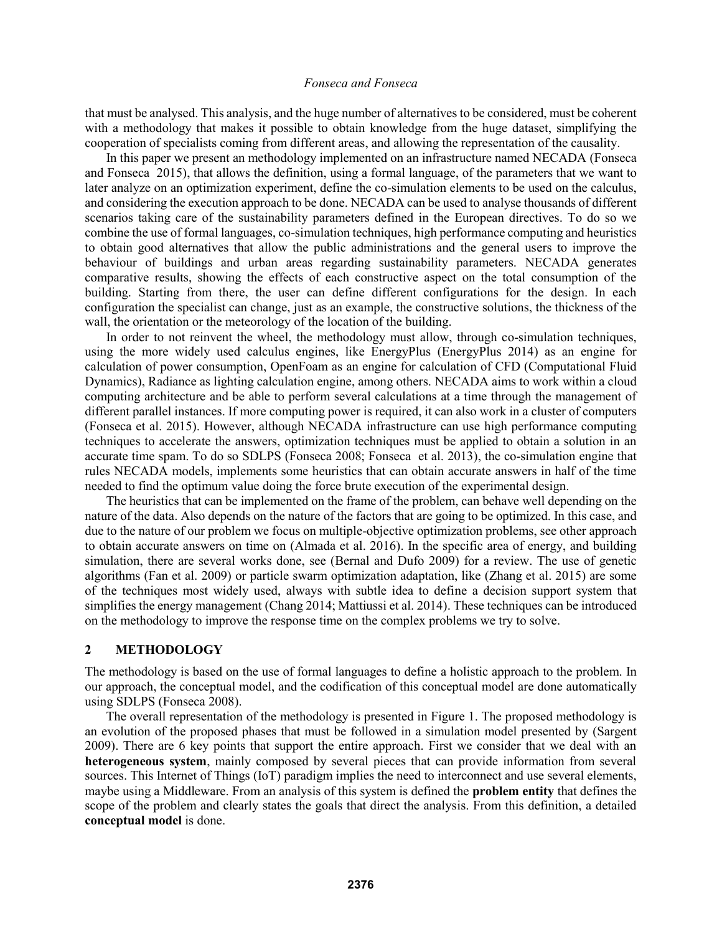that must be analysed. This analysis, and the huge number of alternatives to be considered, must be coherent with a methodology that makes it possible to obtain knowledge from the huge dataset, simplifying the cooperation of specialists coming from different areas, and allowing the representation of the causality.

In this paper we present an methodology implemented on an infrastructure named NECADA (Fonseca and Fonseca 2015), that allows the definition, using a formal language, of the parameters that we want to later analyze on an optimization experiment, define the co-simulation elements to be used on the calculus, and considering the execution approach to be done. NECADA can be used to analyse thousands of different scenarios taking care of the sustainability parameters defined in the European directives. To do so we combine the use of formal languages, co-simulation techniques, high performance computing and heuristics to obtain good alternatives that allow the public administrations and the general users to improve the behaviour of buildings and urban areas regarding sustainability parameters. NECADA generates comparative results, showing the effects of each constructive aspect on the total consumption of the building. Starting from there, the user can define different configurations for the design. In each configuration the specialist can change, just as an example, the constructive solutions, the thickness of the wall, the orientation or the meteorology of the location of the building.

In order to not reinvent the wheel, the methodology must allow, through co-simulation techniques, using the more widely used calculus engines, like EnergyPlus (EnergyPlus 2014) as an engine for calculation of power consumption, OpenFoam as an engine for calculation of CFD (Computational Fluid Dynamics), Radiance as lighting calculation engine, among others. NECADA aims to work within a cloud computing architecture and be able to perform several calculations at a time through the management of different parallel instances. If more computing power is required, it can also work in a cluster of computers (Fonseca et al. 2015). However, although NECADA infrastructure can use high performance computing techniques to accelerate the answers, optimization techniques must be applied to obtain a solution in an accurate time spam. To do so SDLPS (Fonseca 2008; Fonseca et al. 2013), the co-simulation engine that rules NECADA models, implements some heuristics that can obtain accurate answers in half of the time needed to find the optimum value doing the force brute execution of the experimental design.

The heuristics that can be implemented on the frame of the problem, can behave well depending on the nature of the data. Also depends on the nature of the factors that are going to be optimized. In this case, and due to the nature of our problem we focus on multiple-objective optimization problems, see other approach to obtain accurate answers on time on (Almada et al. 2016). In the specific area of energy, and building simulation, there are several works done, see (Bernal and Dufo 2009) for a review. The use of genetic algorithms (Fan et al. 2009) or particle swarm optimization adaptation, like (Zhang et al. 2015) are some of the techniques most widely used, always with subtle idea to define a decision support system that simplifies the energy management (Chang 2014; Mattiussi et al. 2014). These techniques can be introduced on the methodology to improve the response time on the complex problems we try to solve.

### **2 METHODOLOGY**

The methodology is based on the use of formal languages to define a holistic approach to the problem. In our approach, the conceptual model, and the codification of this conceptual model are done automatically using SDLPS (Fonseca 2008).

The overall representation of the methodology is presented in Figure 1. The proposed methodology is an evolution of the proposed phases that must be followed in a simulation model presented by (Sargent 2009). There are 6 key points that support the entire approach. First we consider that we deal with an **heterogeneous system**, mainly composed by several pieces that can provide information from several sources. This Internet of Things (IoT) paradigm implies the need to interconnect and use several elements, maybe using a Middleware. From an analysis of this system is defined the **problem entity** that defines the scope of the problem and clearly states the goals that direct the analysis. From this definition, a detailed **conceptual model** is done.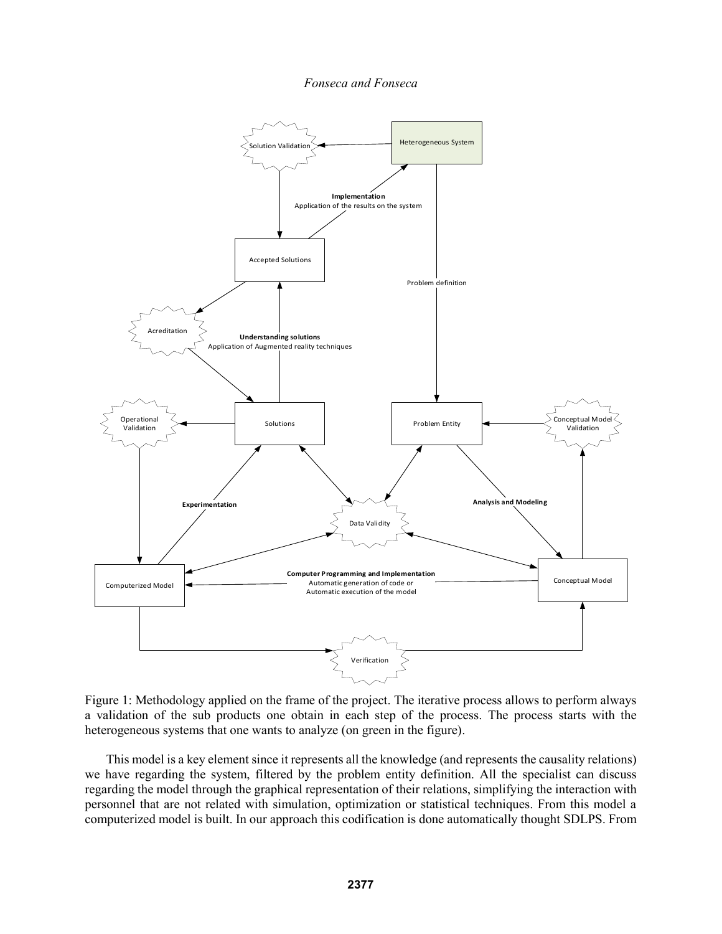*Fonseca and Fonseca*



Figure 1: Methodology applied on the frame of the project. The iterative process allows to perform always a validation of the sub products one obtain in each step of the process. The process starts with the heterogeneous systems that one wants to analyze (on green in the figure).

This model is a key element since it represents all the knowledge (and represents the causality relations) we have regarding the system, filtered by the problem entity definition. All the specialist can discuss regarding the model through the graphical representation of their relations, simplifying the interaction with personnel that are not related with simulation, optimization or statistical techniques. From this model a computerized model is built. In our approach this codification is done automatically thought SDLPS. From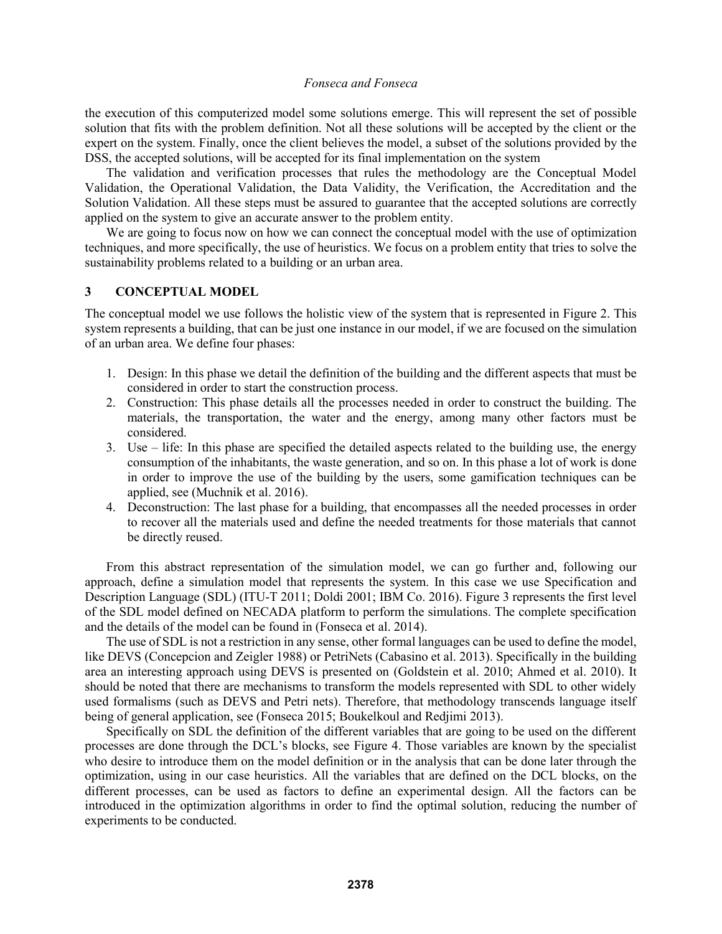the execution of this computerized model some solutions emerge. This will represent the set of possible solution that fits with the problem definition. Not all these solutions will be accepted by the client or the expert on the system. Finally, once the client believes the model, a subset of the solutions provided by the DSS, the accepted solutions, will be accepted for its final implementation on the system

The validation and verification processes that rules the methodology are the Conceptual Model Validation, the Operational Validation, the Data Validity, the Verification, the Accreditation and the Solution Validation. All these steps must be assured to guarantee that the accepted solutions are correctly applied on the system to give an accurate answer to the problem entity.

We are going to focus now on how we can connect the conceptual model with the use of optimization techniques, and more specifically, the use of heuristics. We focus on a problem entity that tries to solve the sustainability problems related to a building or an urban area.

### **3 CONCEPTUAL MODEL**

The conceptual model we use follows the holistic view of the system that is represented in Figure 2. This system represents a building, that can be just one instance in our model, if we are focused on the simulation of an urban area. We define four phases:

- 1. Design: In this phase we detail the definition of the building and the different aspects that must be considered in order to start the construction process.
- 2. Construction: This phase details all the processes needed in order to construct the building. The materials, the transportation, the water and the energy, among many other factors must be considered.
- 3. Use life: In this phase are specified the detailed aspects related to the building use, the energy consumption of the inhabitants, the waste generation, and so on. In this phase a lot of work is done in order to improve the use of the building by the users, some gamification techniques can be applied, see (Muchnik et al. 2016).
- 4. Deconstruction: The last phase for a building, that encompasses all the needed processes in order to recover all the materials used and define the needed treatments for those materials that cannot be directly reused.

From this abstract representation of the simulation model, we can go further and, following our approach, define a simulation model that represents the system. In this case we use Specification and Description Language (SDL) (ITU-T 2011; Doldi 2001; IBM Co. 2016). Figure 3 represents the first level of the SDL model defined on NECADA platform to perform the simulations. The complete specification and the details of the model can be found in (Fonseca et al. 2014).

The use of SDL is not a restriction in any sense, other formal languages can be used to define the model, like DEVS (Concepcion and Zeigler 1988) or PetriNets (Cabasino et al. 2013). Specifically in the building area an interesting approach using DEVS is presented on (Goldstein et al. 2010; Ahmed et al. 2010). It should be noted that there are mechanisms to transform the models represented with SDL to other widely used formalisms (such as DEVS and Petri nets). Therefore, that methodology transcends language itself being of general application, see (Fonseca 2015; Boukelkoul and Redjimi 2013).

Specifically on SDL the definition of the different variables that are going to be used on the different processes are done through the DCL's blocks, see Figure 4. Those variables are known by the specialist who desire to introduce them on the model definition or in the analysis that can be done later through the optimization, using in our case heuristics. All the variables that are defined on the DCL blocks, on the different processes, can be used as factors to define an experimental design. All the factors can be introduced in the optimization algorithms in order to find the optimal solution, reducing the number of experiments to be conducted.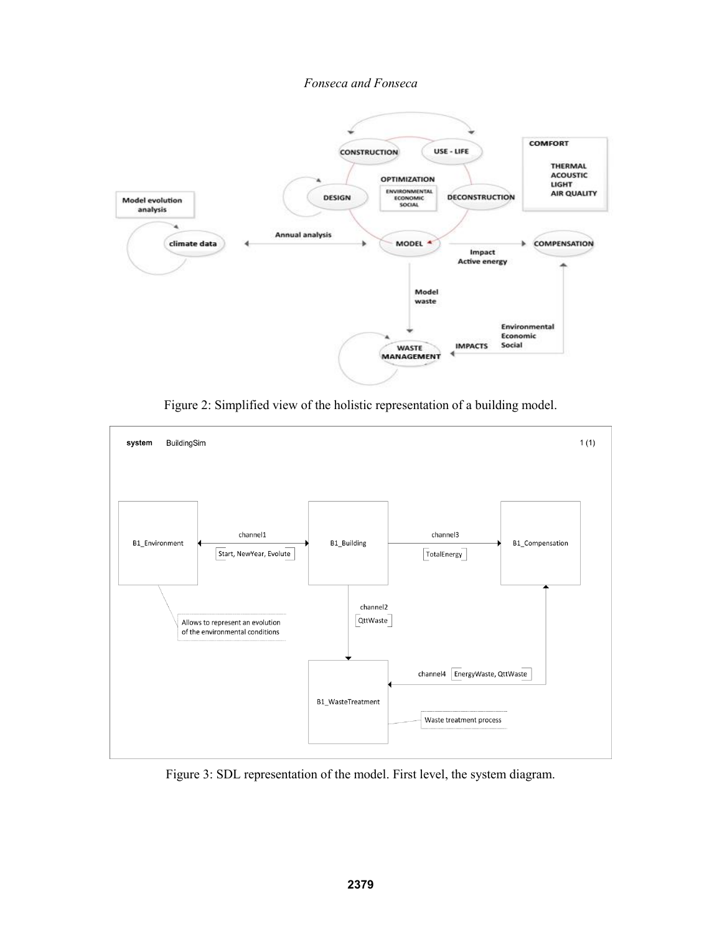

Figure 2: Simplified view of the holistic representation of a building model.



Figure 3: SDL representation of the model. First level, the system diagram.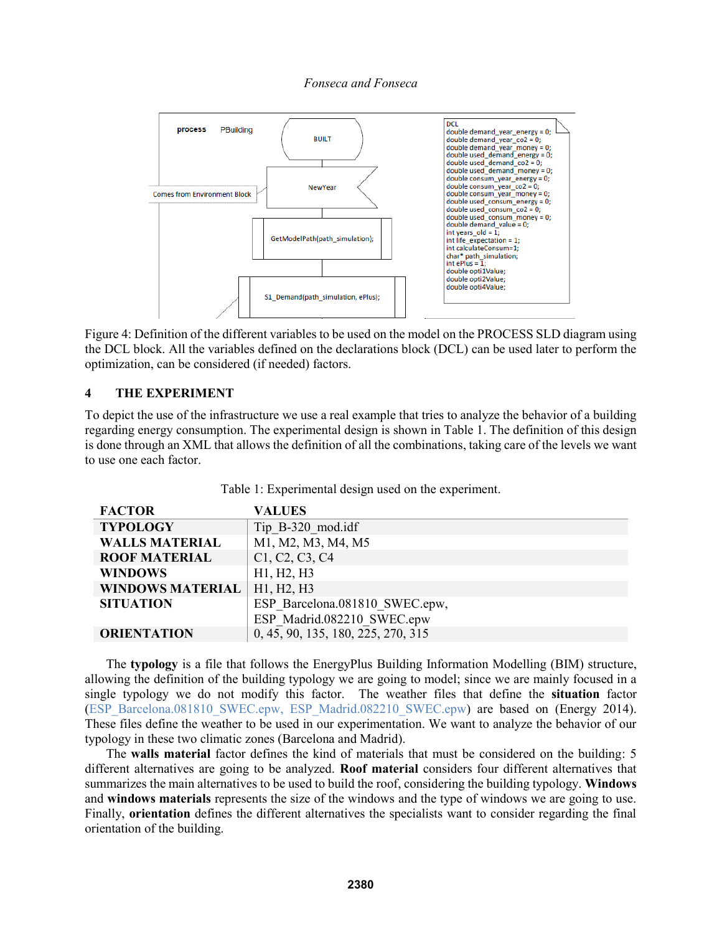

Figure 4: Definition of the different variables to be used on the model on the PROCESS SLD diagram using the DCL block. All the variables defined on the declarations block (DCL) can be used later to perform the optimization, can be considered (if needed) factors.

### **4 THE EXPERIMENT**

To depict the use of the infrastructure we use a real example that tries to analyze the behavior of a building regarding energy consumption. The experimental design is shown in Table 1. The definition of this design is done through an XML that allows the definition of all the combinations, taking care of the levels we want to use one each factor.

| <b>FACTOR</b>           | <b>VALUES</b>                      |
|-------------------------|------------------------------------|
| <b>TYPOLOGY</b>         | Tip B-320 mod.idf                  |
| <b>WALLS MATERIAL</b>   | M1, M2, M3, M4, M5                 |
| <b>ROOF MATERIAL</b>    | C1, C2, C3, C4                     |
| <b>WINDOWS</b>          | H1, H2, H3                         |
| <b>WINDOWS MATERIAL</b> | H1, H2, H3                         |
| <b>SITUATION</b>        | ESP Barcelona.081810 SWEC.epw,     |
|                         | ESP Madrid.082210 SWEC.epw         |
| <b>ORIENTATION</b>      | 0, 45, 90, 135, 180, 225, 270, 315 |

Table 1: Experimental design used on the experiment.

The **typology** is a file that follows the EnergyPlus Building Information Modelling (BIM) structure, allowing the definition of the building typology we are going to model; since we are mainly focused in a single typology we do not modify this factor. The weather files that define the **situation** factor (ESP\_Barcelona.081810\_SWEC.epw, ESP\_Madrid.082210\_SWEC.epw) are based on (Energy 2014). These files define the weather to be used in our experimentation. We want to analyze the behavior of our typology in these two climatic zones (Barcelona and Madrid).

The **walls material** factor defines the kind of materials that must be considered on the building: 5 different alternatives are going to be analyzed. **Roof material** considers four different alternatives that summarizes the main alternatives to be used to build the roof, considering the building typology. **Windows** and **windows materials** represents the size of the windows and the type of windows we are going to use. Finally, **orientation** defines the different alternatives the specialists want to consider regarding the final orientation of the building.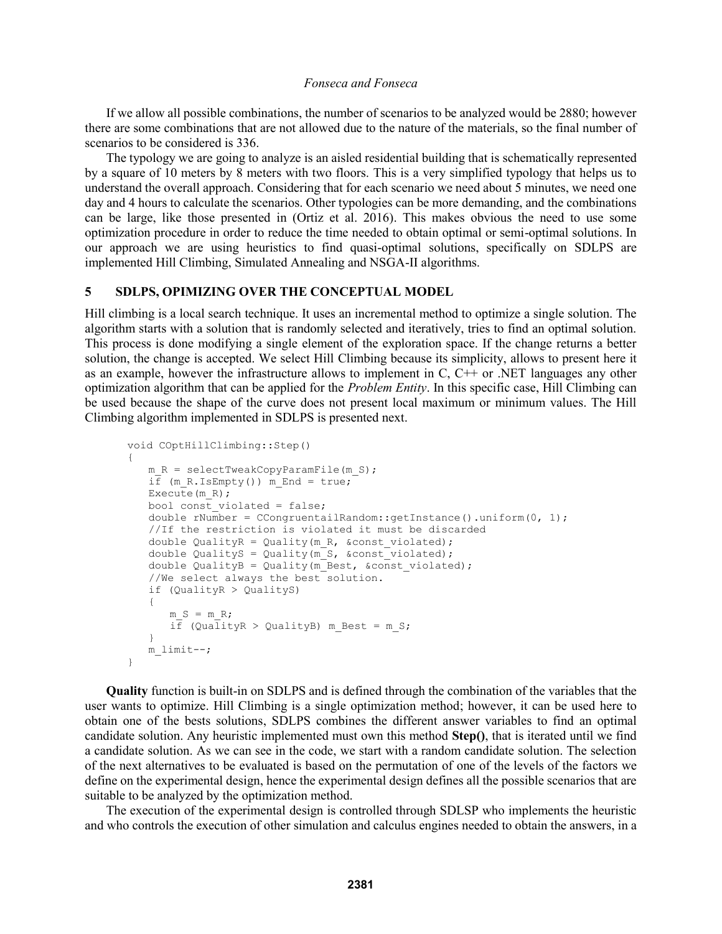If we allow all possible combinations, the number of scenarios to be analyzed would be 2880; however there are some combinations that are not allowed due to the nature of the materials, so the final number of scenarios to be considered is 336.

The typology we are going to analyze is an aisled residential building that is schematically represented by a square of 10 meters by 8 meters with two floors. This is a very simplified typology that helps us to understand the overall approach. Considering that for each scenario we need about 5 minutes, we need one day and 4 hours to calculate the scenarios. Other typologies can be more demanding, and the combinations can be large, like those presented in (Ortiz et al. 2016). This makes obvious the need to use some optimization procedure in order to reduce the time needed to obtain optimal or semi-optimal solutions. In our approach we are using heuristics to find quasi-optimal solutions, specifically on SDLPS are implemented Hill Climbing, Simulated Annealing and NSGA-II algorithms.

### **5 SDLPS, OPIMIZING OVER THE CONCEPTUAL MODEL**

Hill climbing is a local search technique. It uses an incremental method to optimize a single solution. The algorithm starts with a solution that is randomly selected and iteratively, tries to find an optimal solution. This process is done modifying a single element of the exploration space. If the change returns a better solution, the change is accepted. We select Hill Climbing because its simplicity, allows to present here it as an example, however the infrastructure allows to implement in  $C$ ,  $C++$  or .NET languages any other optimization algorithm that can be applied for the *Problem Entity*. In this specific case, Hill Climbing can be used because the shape of the curve does not present local maximum or minimum values. The Hill Climbing algorithm implemented in SDLPS is presented next.

```
void COptHillClimbing::Step()
{
   m R = selectTweakCopyParamFile(m S);
   i\bar{f} (m R.IsEmpty()) m End = true;
   Execute (m R);
   bool const violated = false;
   double rNumber = CCongruentailRandom::getInstance().uniform(0, 1);
   //If the restriction is violated it must be discarded
   double QualityR = Quality(m R, &const violated);
   double QualityS = Quality(m S, &const violated);
   double QualityB = Quality(m_Best, &const violated);
   //We select always the best solution.
   if (QualityR > QualityS)
   {
      m_S = m_R;if (QualityR > QualityB) m Best = m S;
   }
   m_limit--;
}
```
**Quality** function is built-in on SDLPS and is defined through the combination of the variables that the user wants to optimize. Hill Climbing is a single optimization method; however, it can be used here to obtain one of the bests solutions, SDLPS combines the different answer variables to find an optimal candidate solution. Any heuristic implemented must own this method **Step()**, that is iterated until we find a candidate solution. As we can see in the code, we start with a random candidate solution. The selection of the next alternatives to be evaluated is based on the permutation of one of the levels of the factors we define on the experimental design, hence the experimental design defines all the possible scenarios that are suitable to be analyzed by the optimization method.

The execution of the experimental design is controlled through SDLSP who implements the heuristic and who controls the execution of other simulation and calculus engines needed to obtain the answers, in a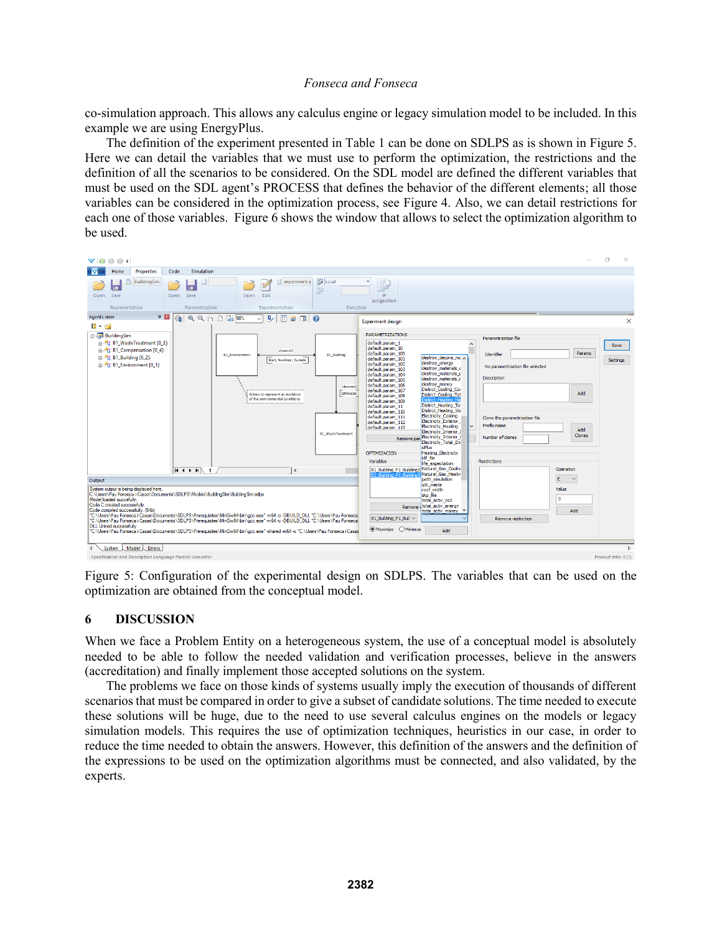co-simulation approach. This allows any calculus engine or legacy simulation model to be included. In this example we are using EnergyPlus.

The definition of the experiment presented in Table 1 can be done on SDLPS as is shown in Figure 5. Here we can detail the variables that we must use to perform the optimization, the restrictions and the definition of all the scenarios to be considered. On the SDL model are defined the different variables that must be used on the SDL agent's PROCESS that defines the behavior of the different elements; all those variables can be considered in the optimization process, see Figure 4. Also, we can detail restrictions for each one of those variables. Figure 6 shows the window that allows to select the optimization algorithm to be used.



Figure 5: Configuration of the experimental design on SDLPS. The variables that can be used on the optimization are obtained from the conceptual model.

## **6 DISCUSSION**

When we face a Problem Entity on a heterogeneous system, the use of a conceptual model is absolutely needed to be able to follow the needed validation and verification processes, believe in the answers (accreditation) and finally implement those accepted solutions on the system.

The problems we face on those kinds of systems usually imply the execution of thousands of different scenarios that must be compared in order to give a subset of candidate solutions. The time needed to execute these solutions will be huge, due to the need to use several calculus engines on the models or legacy simulation models. This requires the use of optimization techniques, heuristics in our case, in order to reduce the time needed to obtain the answers. However, this definition of the answers and the definition of the expressions to be used on the optimization algorithms must be connected, and also validated, by the experts.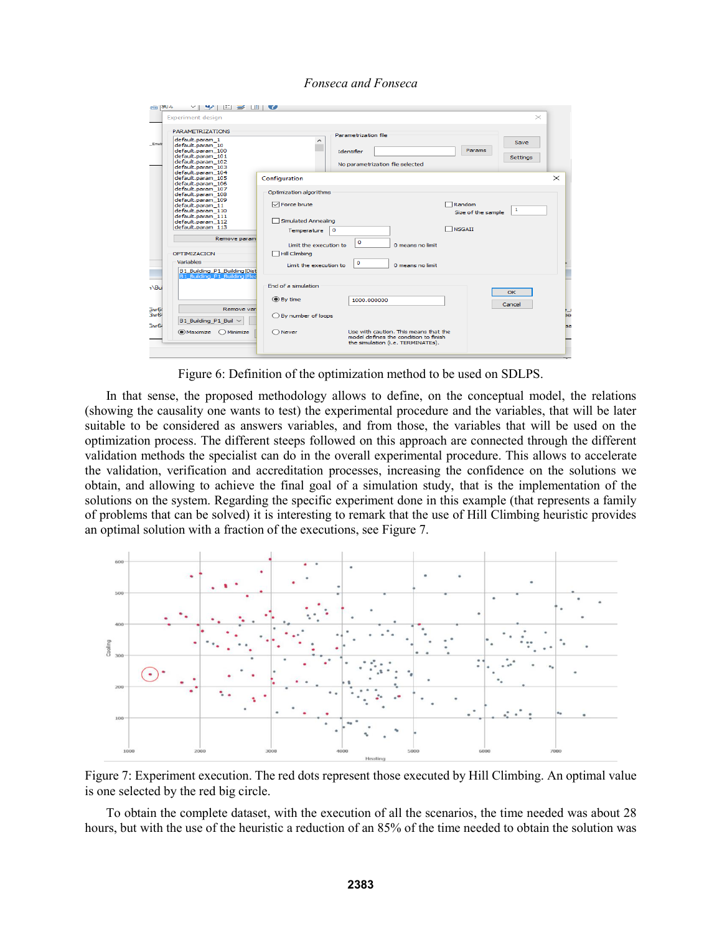| <b>AUG</b>   and            | $\mathbb{E}$ $\Rightarrow$ $\mathbb{E}$ $\Rightarrow$<br>$\sim$                                                                                                         |                                                                                                  |                                                                                                                     |                                                        |                  |                |
|-----------------------------|-------------------------------------------------------------------------------------------------------------------------------------------------------------------------|--------------------------------------------------------------------------------------------------|---------------------------------------------------------------------------------------------------------------------|--------------------------------------------------------|------------------|----------------|
|                             | <b>Experiment design</b>                                                                                                                                                |                                                                                                  |                                                                                                                     |                                                        | $\times$         |                |
| Envir                       | <b>PARAMETRIZATIONS</b><br>default.param_1<br>default.param_10<br>default.param_100<br>default.param 101<br>default.param_102<br>default.param 103<br>default.param 104 | ́                                                                                                | Parametrization file<br>Identifier<br>No parametrization file selected                                              | Params                                                 | Save<br>Settings |                |
|                             | default.param_105<br>default.param_106                                                                                                                                  | Configuration                                                                                    |                                                                                                                     |                                                        |                  | $\times$       |
|                             | default.param_107<br>default.param_108<br>default.param 109<br>default.param 11<br>default.param_110<br>default.param_111<br>default.param 112<br>default.param_113     | Optimization algorithms<br><b>∞</b> Force brute<br>Simulated Annealing<br>$\circ$<br>Temperature |                                                                                                                     | $\sqcap$ Random<br>Size of the sample<br><b>NSGAII</b> | $\mathbf{1}$     |                |
|                             | Remove param                                                                                                                                                            |                                                                                                  | $\Omega$                                                                                                            |                                                        |                  |                |
|                             | OPTIMIZACION<br>Variables<br>B1_Building_P1_Building Dist<br><b>B1 Building P1 Building Elec</b>                                                                        | Limit the execution to<br><b>Hill Climbing</b><br>Limit the execution to                         | 0 means no limit<br>$\circ$<br>0 means no limit                                                                     |                                                        |                  |                |
| 1 <sup>\Bui</sup>           |                                                                                                                                                                         | End of a simulation<br>$•$ By time                                                               | 1000.000000                                                                                                         |                                                        | <b>OK</b>        |                |
| 3w64<br>3w64<br><b>Bw64</b> | Remove vari<br>B1_Building_P1_Buil ~                                                                                                                                    | ◯ By number of loops                                                                             |                                                                                                                     |                                                        | Cancel           | r<br>se<br>ls: |
|                             | $\odot$ Maximize $\odot$ Minimize                                                                                                                                       | $\bigcap$ Never                                                                                  | Use with caution. This means that the<br>model defines the condition to finish<br>the simulation (i.e. TERMINATEs). |                                                        |                  |                |

Figure 6: Definition of the optimization method to be used on SDLPS.

In that sense, the proposed methodology allows to define, on the conceptual model, the relations (showing the causality one wants to test) the experimental procedure and the variables, that will be later suitable to be considered as answers variables, and from those, the variables that will be used on the optimization process. The different steeps followed on this approach are connected through the different validation methods the specialist can do in the overall experimental procedure. This allows to accelerate the validation, verification and accreditation processes, increasing the confidence on the solutions we obtain, and allowing to achieve the final goal of a simulation study, that is the implementation of the solutions on the system. Regarding the specific experiment done in this example (that represents a family of problems that can be solved) it is interesting to remark that the use of Hill Climbing heuristic provides an optimal solution with a fraction of the executions, see Figure 7.



Figure 7: Experiment execution. The red dots represent those executed by Hill Climbing. An optimal value is one selected by the red big circle.

To obtain the complete dataset, with the execution of all the scenarios, the time needed was about 28 hours, but with the use of the heuristic a reduction of an 85% of the time needed to obtain the solution was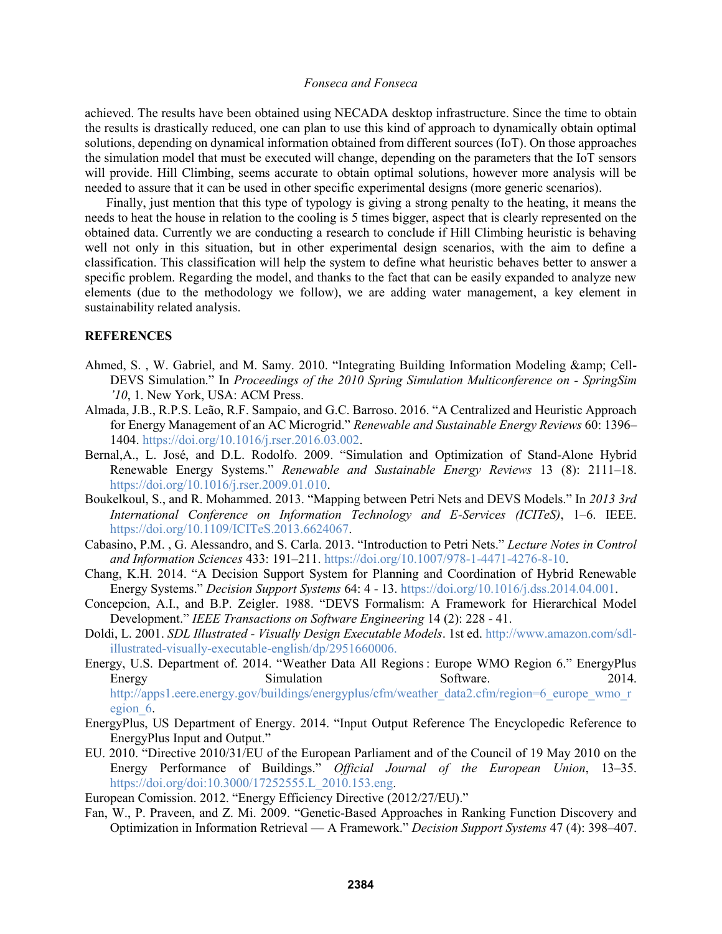achieved. The results have been obtained using NECADA desktop infrastructure. Since the time to obtain the results is drastically reduced, one can plan to use this kind of approach to dynamically obtain optimal solutions, depending on dynamical information obtained from different sources (IoT). On those approaches the simulation model that must be executed will change, depending on the parameters that the IoT sensors will provide. Hill Climbing, seems accurate to obtain optimal solutions, however more analysis will be needed to assure that it can be used in other specific experimental designs (more generic scenarios).

Finally, just mention that this type of typology is giving a strong penalty to the heating, it means the needs to heat the house in relation to the cooling is 5 times bigger, aspect that is clearly represented on the obtained data. Currently we are conducting a research to conclude if Hill Climbing heuristic is behaving well not only in this situation, but in other experimental design scenarios, with the aim to define a classification. This classification will help the system to define what heuristic behaves better to answer a specific problem. Regarding the model, and thanks to the fact that can be easily expanded to analyze new elements (due to the methodology we follow), we are adding water management, a key element in sustainability related analysis.

#### **REFERENCES**

- Ahmed, S., W. Gabriel, and M. Samy. 2010. "Integrating Building Information Modeling & amp; Cell-DEVS Simulation." In *Proceedings of the 2010 Spring Simulation Multiconference on - SpringSim '10*, 1. New York, USA: ACM Press.
- Almada, J.B., R.P.S. Leão, R.F. Sampaio, and G.C. Barroso. 2016. "A Centralized and Heuristic Approach for Energy Management of an AC Microgrid." *Renewable and Sustainable Energy Reviews* 60: 1396– 1404. https://doi.org/10.1016/j.rser.2016.03.002.
- Bernal,A., L. José, and D.L. Rodolfo. 2009. "Simulation and Optimization of Stand-Alone Hybrid Renewable Energy Systems." *Renewable and Sustainable Energy Reviews* 13 (8): 2111–18. https://doi.org/10.1016/j.rser.2009.01.010.
- Boukelkoul, S., and R. Mohammed. 2013. "Mapping between Petri Nets and DEVS Models." In *2013 3rd International Conference on Information Technology and E-Services (ICITeS)*, 1–6. IEEE. https://doi.org/10.1109/ICITeS.2013.6624067.
- Cabasino, P.M. , G. Alessandro, and S. Carla. 2013. "Introduction to Petri Nets." *Lecture Notes in Control and Information Sciences* 433: 191–211. https://doi.org/10.1007/978-1-4471-4276-8-10.
- Chang, K.H. 2014. "A Decision Support System for Planning and Coordination of Hybrid Renewable Energy Systems." *Decision Support Systems* 64: 4 - 13. https://doi.org/10.1016/j.dss.2014.04.001.
- Concepcion, A.I., and B.P. Zeigler. 1988. "DEVS Formalism: A Framework for Hierarchical Model Development." *IEEE Transactions on Software Engineering* 14 (2): 228 - 41.
- Doldi, L. 2001. *SDL Illustrated - Visually Design Executable Models*. 1st ed. http://www.amazon.com/sdlillustrated-visually-executable-english/dp/2951660006.
- Energy, U.S. Department of. 2014. "Weather Data All Regions : Europe WMO Region 6." EnergyPlus Energy Simulation Simulation Software. 2014. http://apps1.eere.energy.gov/buildings/energyplus/cfm/weather\_data2.cfm/region=6\_europe\_wmo\_r egion\_6.
- EnergyPlus, US Department of Energy. 2014. "Input Output Reference The Encyclopedic Reference to EnergyPlus Input and Output."
- EU. 2010. "Directive 2010/31/EU of the European Parliament and of the Council of 19 May 2010 on the Energy Performance of Buildings." *Official Journal of the European Union*, 13–35. https://doi.org/doi:10.3000/17252555.L\_2010.153.eng.

European Comission. 2012. "Energy Efficiency Directive (2012/27/EU)."

Fan, W., P. Praveen, and Z. Mi. 2009. "Genetic-Based Approaches in Ranking Function Discovery and Optimization in Information Retrieval — A Framework." *Decision Support Systems* 47 (4): 398–407.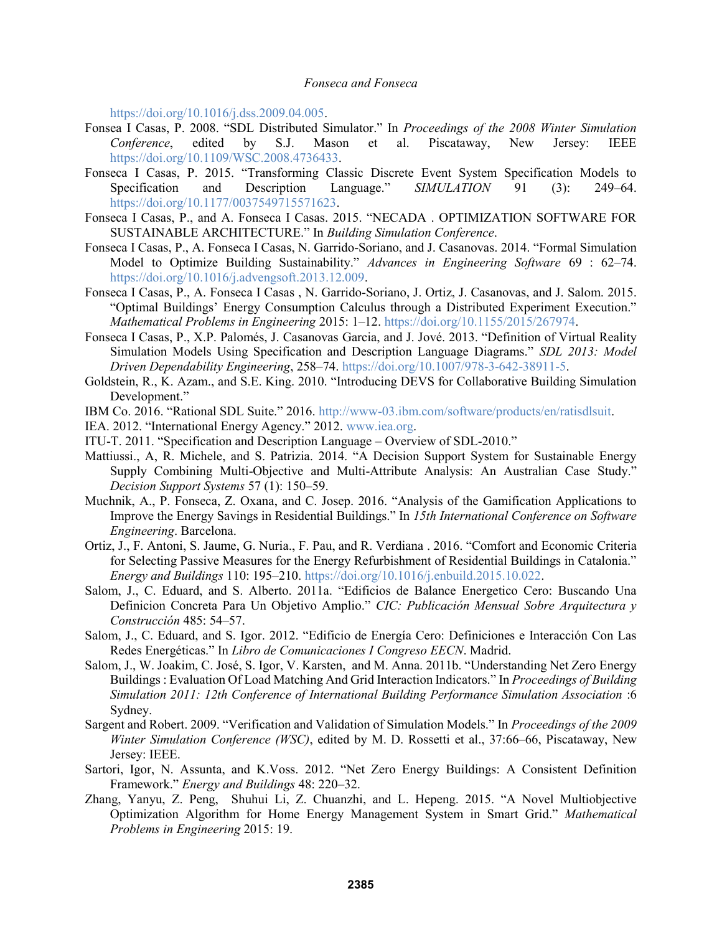https://doi.org/10.1016/j.dss.2009.04.005.

- Fonsea I Casas, P. 2008. "SDL Distributed Simulator." In *Proceedings of the 2008 Winter Simulation Conference*, edited by S.J. Mason et al. Piscataway, New Jersey: IEEE https://doi.org/10.1109/WSC.2008.4736433.
- Fonseca I Casas, P. 2015. "Transforming Classic Discrete Event System Specification Models to Specification and Description Language." *SIMULATION* 91 (3): 249–64. https://doi.org/10.1177/0037549715571623.
- Fonseca I Casas, P., and A. Fonseca I Casas. 2015. "NECADA . OPTIMIZATION SOFTWARE FOR SUSTAINABLE ARCHITECTURE." In *Building Simulation Conference*.
- Fonseca I Casas, P., A. Fonseca I Casas, N. Garrido-Soriano, and J. Casanovas. 2014. "Formal Simulation Model to Optimize Building Sustainability." *Advances in Engineering Software* 69 : 62–74. https://doi.org/10.1016/j.advengsoft.2013.12.009.
- Fonseca I Casas, P., A. Fonseca I Casas , N. Garrido-Soriano, J. Ortiz, J. Casanovas, and J. Salom. 2015. "Optimal Buildings' Energy Consumption Calculus through a Distributed Experiment Execution." *Mathematical Problems in Engineering* 2015: 1–12. https://doi.org/10.1155/2015/267974.
- Fonseca I Casas, P., X.P. Palomés, J. Casanovas Garcia, and J. Jové. 2013. "Definition of Virtual Reality Simulation Models Using Specification and Description Language Diagrams." *SDL 2013: Model Driven Dependability Engineering*, 258–74. https://doi.org/10.1007/978-3-642-38911-5.
- Goldstein, R., K. Azam., and S.E. King. 2010. "Introducing DEVS for Collaborative Building Simulation Development."
- IBM Co. 2016. "Rational SDL Suite." 2016. http://www-03.ibm.com/software/products/en/ratisdlsuit.
- IEA. 2012. "International Energy Agency." 2012. www.iea.org.
- ITU-T. 2011. "Specification and Description Language Overview of SDL-2010."
- Mattiussi., A, R. Michele, and S. Patrizia. 2014. "A Decision Support System for Sustainable Energy Supply Combining Multi-Objective and Multi-Attribute Analysis: An Australian Case Study." *Decision Support Systems* 57 (1): 150–59.
- Muchnik, A., P. Fonseca, Z. Oxana, and C. Josep. 2016. "Analysis of the Gamification Applications to Improve the Energy Savings in Residential Buildings." In *15th International Conference on Software Engineering*. Barcelona.
- Ortiz, J., F. Antoni, S. Jaume, G. Nuria., F. Pau, and R. Verdiana . 2016. "Comfort and Economic Criteria for Selecting Passive Measures for the Energy Refurbishment of Residential Buildings in Catalonia." *Energy and Buildings* 110: 195–210. https://doi.org/10.1016/j.enbuild.2015.10.022.
- Salom, J., C. Eduard, and S. Alberto. 2011a. "Edificios de Balance Energetico Cero: Buscando Una Definicion Concreta Para Un Objetivo Amplio." *CIC: Publicación Mensual Sobre Arquitectura y Construcción* 485: 54–57.
- Salom, J., C. Eduard, and S. Igor. 2012. "Edificio de Energía Cero: Definiciones e Interacción Con Las Redes Energéticas." In *Libro de Comunicaciones I Congreso EECN*. Madrid.
- Salom, J., W. Joakim, C. José, S. Igor, V. Karsten, and M. Anna. 2011b. "Understanding Net Zero Energy Buildings : Evaluation Of Load Matching And Grid Interaction Indicators." In *Proceedings of Building Simulation 2011: 12th Conference of International Building Performance Simulation Association* :6 Sydney.
- Sargent and Robert. 2009. "Verification and Validation of Simulation Models." In *Proceedings of the 2009 Winter Simulation Conference (WSC)*, edited by M. D. Rossetti et al., 37:66–66, Piscataway, New Jersey: IEEE.
- Sartori, Igor, N. Assunta, and K.Voss. 2012. "Net Zero Energy Buildings: A Consistent Definition Framework." *Energy and Buildings* 48: 220–32.
- Zhang, Yanyu, Z. Peng, Shuhui Li, Z. Chuanzhi, and L. Hepeng. 2015. "A Novel Multiobjective Optimization Algorithm for Home Energy Management System in Smart Grid." *Mathematical Problems in Engineering* 2015: 19.